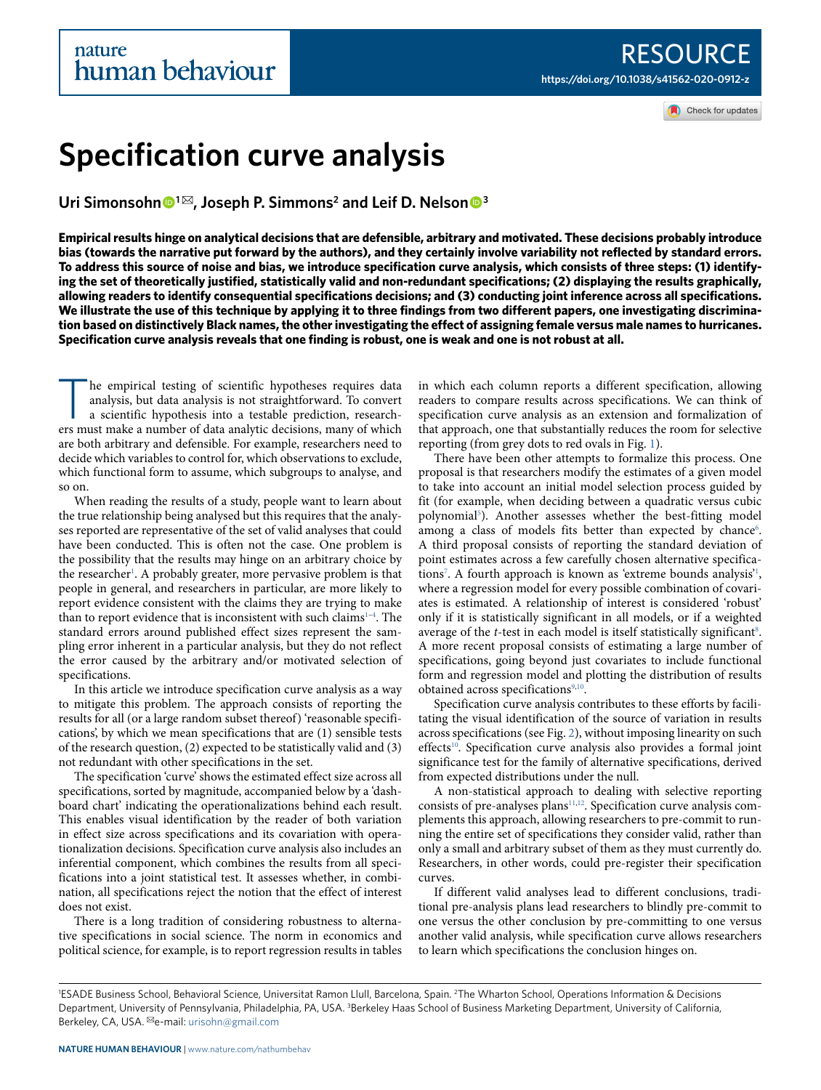Check for updates

# **Specification curve analysis**

Uri Simonsohn <sup>●1⊠</sup>, Joseph P. Simmons<sup>2</sup> and Leif D. Nelson <sup>●3</sup>

**Empirical results hinge on analytical decisions that are defensible, arbitrary and motivated. These decisions probably introduce bias (towards the narrative put forward by the authors), and they certainly involve variability not reflected by standard errors. To address this source of noise and bias, we introduce specification curve analysis, which consists of three steps: (1) identifying the set of theoretically justified, statistically valid and non-redundant specifications; (2) displaying the results graphically, allowing readers to identify consequential specifications decisions; and (3) conducting joint inference across all specifications. We illustrate the use of this technique by applying it to three findings from two different papers, one investigating discrimination based on distinctively Black names, the other investigating the effect of assigning female versus male names to hurricanes. Specification curve analysis reveals that one finding is robust, one is weak and one is not robust at all.**

The empirical testing of scientific hypotheses requires data analysis, but data analysis is not straightforward. To convert a scientific hypothesis into a testable prediction, researchers must make a number of data analyti he empirical testing of scientific hypotheses requires data analysis, but data analysis is not straightforward. To convert a scientific hypothesis into a testable prediction, researchare both arbitrary and defensible. For example, researchers need to decide which variables to control for, which observations to exclude, which functional form to assume, which subgroups to analyse, and so on.

When reading the results of a study, people want to learn about the true relationship being analysed but this requires that the analyses reported are representative of the set of valid analyses that could have been conducted. This is often not the case. One problem is the possibility that the results may hinge on an arbitrary choice by the researcher<sup>[1](#page-6-0)</sup>. A probably greater, more pervasive problem is that people in general, and researchers in particular, are more likely to report evidence consistent with the claims they are trying to make than to report evidence that is inconsistent with such claims $^{1-4}$  $^{1-4}$  $^{1-4}$ . The standard errors around published effect sizes represent the sampling error inherent in a particular analysis, but they do not reflect the error caused by the arbitrary and/or motivated selection of specifications.

In this article we introduce specification curve analysis as a way to mitigate this problem. The approach consists of reporting the results for all (or a large random subset thereof) 'reasonable specifications', by which we mean specifications that are (1) sensible tests of the research question, (2) expected to be statistically valid and (3) not redundant with other specifications in the set.

The specification 'curve' shows the estimated effect size across all specifications, sorted by magnitude, accompanied below by a 'dashboard chart' indicating the operationalizations behind each result. This enables visual identification by the reader of both variation in effect size across specifications and its covariation with operationalization decisions. Specification curve analysis also includes an inferential component, which combines the results from all specifications into a joint statistical test. It assesses whether, in combination, all specifications reject the notion that the effect of interest does not exist.

There is a long tradition of considering robustness to alternative specifications in social science. The norm in economics and political science, for example, is to report regression results in tables in which each column reports a different specification, allowing readers to compare results across specifications. We can think of specification curve analysis as an extension and formalization of that approach, one that substantially reduces the room for selective reporting (from grey dots to red ovals in Fig. [1\)](#page-1-0).

There have been other attempts to formalize this process. One proposal is that researchers modify the estimates of a given model to take into account an initial model selection process guided by fit (for example, when deciding between a quadratic versus cubic polynomial<sup>[5](#page-6-2)</sup>). Another assesses whether the best-fitting model among a class of models fits better than expected by chance<sup>[6](#page-6-3)</sup>. A third proposal consists of reporting the standard deviation of point estimates across a few carefully chosen alternative specifica-tions<sup>[7](#page-6-4)</sup>. A fourth approach is known as 'extreme bounds analysis'<sup>[1](#page-6-0)</sup>, where a regression model for every possible combination of covariates is estimated. A relationship of interest is considered 'robust' only if it is statistically significant in all models, or if a weighted average of the  $t$ -test in each model is itself statistically significant $\delta$ . A more recent proposal consists of estimating a large number of specifications, going beyond just covariates to include functional form and regression model and plotting the distribution of results obtained across specifications<sup>[9](#page-6-6)[,10](#page-6-7)</sup>.

Specification curve analysis contributes to these efforts by facilitating the visual identification of the source of variation in results across specifications (see Fig. [2\)](#page-2-0), without imposing linearity on such effects<sup>[10](#page-6-7)</sup>. Specification curve analysis also provides a formal joint significance test for the family of alternative specifications, derived from expected distributions under the null.

A non-statistical approach to dealing with selective reporting consists of pre-analyses plans<sup>[11,](#page-6-8)[12](#page-6-9)</sup>. Specification curve analysis complements this approach, allowing researchers to pre-commit to running the entire set of specifications they consider valid, rather than only a small and arbitrary subset of them as they must currently do. Researchers, in other words, could pre-register their specification curves.

If different valid analyses lead to different conclusions, traditional pre-analysis plans lead researchers to blindly pre-commit to one versus the other conclusion by pre-committing to one versus another valid analysis, while specification curve allows researchers to learn which specifications the conclusion hinges on.

<sup>&</sup>lt;sup>1</sup>ESADE Business School, Behavioral Science, Universitat Ramon Llull, Barcelona, Spain. <sup>2</sup>The Wharton School, Operations Information & Decisions Department, University of Pennsylvania, Philadelphia, PA, USA. <sup>3</sup>Berkeley Haas School of Business Marketing Department, University of California, Berkeley, CA, USA. <sup>⊠</sup>e-mail: [urisohn@gmail.com](mailto:urisohn@gmail.com)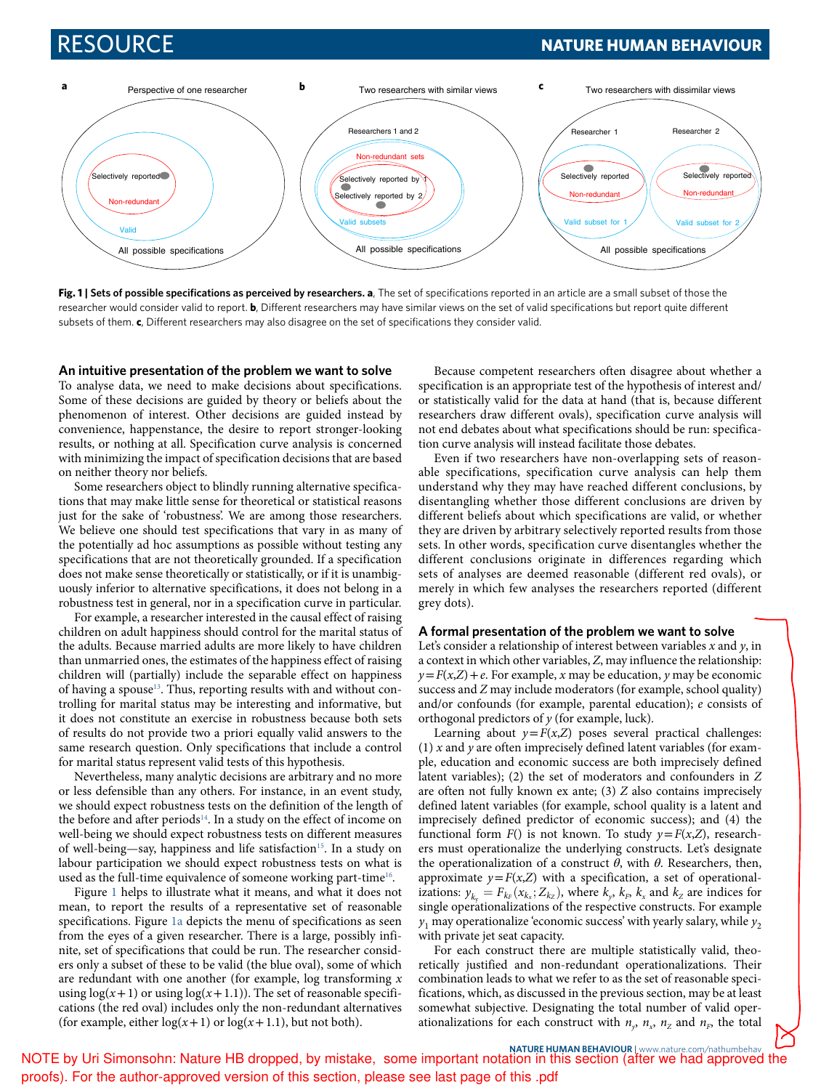## RESOURCE **NATURE HUMAN BEHAVIOUR**



<span id="page-1-0"></span>**Fig. 1 | Sets of possible specifications as perceived by researchers. a**, The set of specifications reported in an article are a small subset of those the researcher would consider valid to report. **b**, Different researchers may have similar views on the set of valid specifications but report quite different subsets of them. **c**, Different researchers may also disagree on the set of specifications they consider valid.

## **an intuitive presentation of the problem we want to solve**

To analyse data, we need to make decisions about specifications. Some of these decisions are guided by theory or beliefs about the phenomenon of interest. Other decisions are guided instead by convenience, happenstance, the desire to report stronger-looking results, or nothing at all. Specification curve analysis is concerned with minimizing the impact of specification decisions that are based on neither theory nor beliefs.

Some researchers object to blindly running alternative specifications that may make little sense for theoretical or statistical reasons just for the sake of 'robustness'. We are among those researchers. We believe one should test specifications that vary in as many of the potentially ad hoc assumptions as possible without testing any specifications that are not theoretically grounded. If a specification does not make sense theoretically or statistically, or if it is unambiguously inferior to alternative specifications, it does not belong in a robustness test in general, nor in a specification curve in particular.

For example, a researcher interested in the causal effect of raising children on adult happiness should control for the marital status of the adults. Because married adults are more likely to have children than unmarried ones, the estimates of the happiness effect of raising children will (partially) include the separable effect on happiness of having a spouse<sup>[13](#page-6-10)</sup>. Thus, reporting results with and without controlling for marital status may be interesting and informative, but it does not constitute an exercise in robustness because both sets of results do not provide two a priori equally valid answers to the same research question. Only specifications that include a control for marital status represent valid tests of this hypothesis.

Nevertheless, many analytic decisions are arbitrary and no more or less defensible than any others. For instance, in an event study, we should expect robustness tests on the definition of the length of the before and after periods<sup>[14](#page-6-11)</sup>. In a study on the effect of income on well-being we should expect robustness tests on different measures of well-being—say, happiness and life satisfaction<sup>[15](#page-6-12)</sup>. In a study on labour participation we should expect robustness tests on what is used as the full-time equivalence of someone working part-time $^{16}$  $^{16}$  $^{16}$ .

Figure [1](#page-1-0) helps to illustrate what it means, and what it does not mean, to report the results of a representative set of reasonable specifications. Figure [1a](#page-1-0) depicts the menu of specifications as seen from the eyes of a given researcher. There is a large, possibly infinite, set of specifications that could be run. The researcher considers only a subset of these to be valid (the blue oval), some of which are redundant with one another (for example, log transforming  $x$ using  $\log(x+1)$  or using  $\log(x+1.1)$ ). The set of reasonable specifications (the red oval) includes only the non-redundant alternatives (for example, either  $log(x+1)$  or  $log(x+1.1)$ , but not both).

Because competent researchers often disagree about whether a specification is an appropriate test of the hypothesis of interest and/ or statistically valid for the data at hand (that is, because different researchers draw different ovals), specification curve analysis will not end debates about what specifications should be run: specification curve analysis will instead facilitate those debates.

Even if two researchers have non-overlapping sets of reasonable specifications, specification curve analysis can help them understand why they may have reached different conclusions, by disentangling whether those different conclusions are driven by different beliefs about which specifications are valid, or whether they are driven by arbitrary selectively reported results from those sets. In other words, specification curve disentangles whether the different conclusions originate in differences regarding which sets of analyses are deemed reasonable (different red ovals), or merely in which few analyses the researchers reported (different grey dots).

## **a formal presentation of the problem we want to solve**

Let's consider a relationship of interest between variables  $x$  and  $y$ , in a context in which other variables, Z, may influence the relationship:  $y = F(x,Z) + e$ . For example, x may be education, y may be economic success and Z may include moderators (for example, school quality) and/or confounds (for example, parental education); e consists of orthogonal predictors of  $y$  (for example, luck).

Learning about  $y = F(x,Z)$  poses several practical challenges: (1)  $x$  and  $y$  are often imprecisely defined latent variables (for example, education and economic success are both imprecisely defined latent variables); (2) the set of moderators and confounders in Z are often not fully known ex ante;  $(3)$  Z also contains imprecisely defined latent variables (for example, school quality is a latent and imprecisely defined predictor of economic success); and (4) the functional form  $F()$  is not known. To study  $y = F(x,Z)$ , researchers must operationalize the underlying constructs. Let's designate the operationalization of a construct *θ*, with *θ*. Researchers, then, approximate  $y = F(x, Z)$  with a specification, a set of operationalizations:  $y_{k_y} = F_{k_x}(x_{k_x}; Z_{k_z})$ , where  $k_y$ ,  $k_y$ ,  $k_x$  and  $k_z$  are indices for single operationalizations of the respective constructs. For example  $y_1$  may operationalize 'economic success' with yearly salary, while  $y_2$ with private jet seat capacity.

For each construct there are multiple statistically valid, theoretically justified and non-redundant operationalizations. Their combination leads to what we refer to as the set of reasonable specifications, which, as discussed in the previous section, may be at least somewhat subjective. Designating the total number of valid operationalizations for each construct with  $n_{y}$ ,  $n_{x}$ ,  $n_{z}$  and  $n_{F}$ , the total

NATURE HUMAN BEHAVIOUR I [www.nature.com/nathumbehav](http://www.nature.com/nathumbehav)<br>NOTE by Uri Simonsohn: Nature HB dropped, by mistake, some important notation in this section (after we had approved the proofs). For the author-approved version of this section, please see last page of this .pdf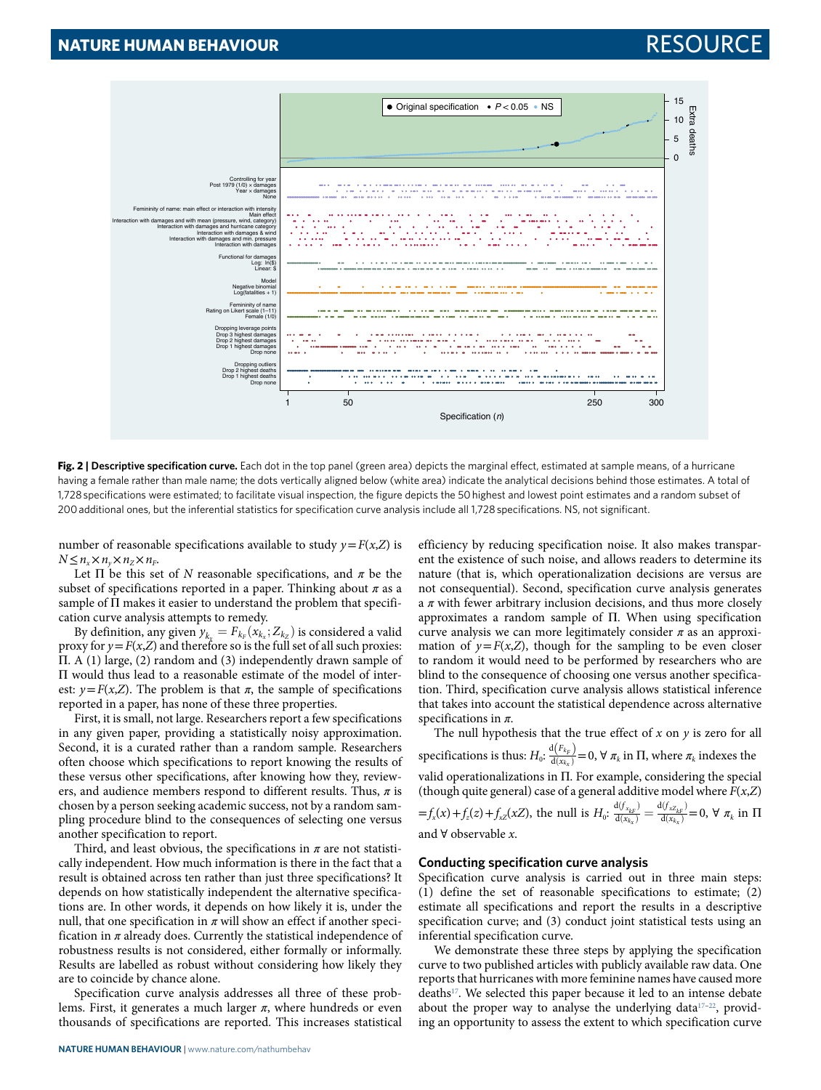

<span id="page-2-0"></span>**Fig. 2 | Descriptive specification curve.** Each dot in the top panel (green area) depicts the marginal effect, estimated at sample means, of a hurricane having a female rather than male name; the dots vertically aligned below (white area) indicate the analytical decisions behind those estimates. A total of 1,728 specifications were estimated; to facilitate visual inspection, the figure depicts the 50 highest and lowest point estimates and a random subset of 200 additional ones, but the inferential statistics for specification curve analysis include all 1,728 specifications. NS, not significant.

number of reasonable specifications available to study  $v = F(x, Z)$  is  $N \leq n_x \times n_y \times n_z \times n_F$ 

Let  $\Pi$  be this set of N reasonable specifications, and  $\pi$  be the subset of specifications reported in a paper. Thinking about  $\pi$  as a sample of Π makes it easier to understand the problem that specification curve analysis attempts to remedy.

By definition, any given  $y_{k_x} = F_{k_F}(x_{k_x}; Z_{k_z})$  is considered a valid proxy for  $y = F(x, Z)$  and therefore so is the full set of all such proxies: Π. A (1) large, (2) random and (3) independently drawn sample of Π would thus lead to a reasonable estimate of the model of interest:  $y = F(x,Z)$ . The problem is that  $\pi$ , the sample of specifications reported in a paper, has none of these three properties.

First, it is small, not large. Researchers report a few specifications in any given paper, providing a statistically noisy approximation. Second, it is a curated rather than a random sample. Researchers often choose which specifications to report knowing the results of these versus other specifications, after knowing how they, reviewers, and audience members respond to different results. Thus, *π* is chosen by a person seeking academic success, not by a random sampling procedure blind to the consequences of selecting one versus another specification to report.

Third, and least obvious, the specifications in *π* are not statistically independent. How much information is there in the fact that a result is obtained across ten rather than just three specifications? It depends on how statistically independent the alternative specifications are. In other words, it depends on how likely it is, under the null, that one specification in  $\pi$  will show an effect if another specification in *π* already does. Currently the statistical independence of robustness results is not considered, either formally or informally. Results are labelled as robust without considering how likely they are to coincide by chance alone.

Specification curve analysis addresses all three of these problems. First, it generates a much larger *π*, where hundreds or even thousands of specifications are reported. This increases statistical efficiency by reducing specification noise. It also makes transparent the existence of such noise, and allows readers to determine its nature (that is, which operationalization decisions are versus are not consequential). Second, specification curve analysis generates a *π* with fewer arbitrary inclusion decisions, and thus more closely approximates a random sample of Π. When using specification curve analysis we can more legitimately consider *π* as an approximation of  $y = F(x,Z)$ , though for the sampling to be even closer to random it would need to be performed by researchers who are blind to the consequence of choosing one versus another specification. Third, specification curve analysis allows statistical inference that takes into account the statistical dependence across alternative specifications in *π*.

The null hypothesis that the true effect of  $x$  on  $y$  is zero for all specifications is thus:  $H_0$ :  $\frac{d(F_{k_F})}{d(x_{k_X})}=0$ ,  $\forall$   $\pi_k$  in  $\Pi$ , where  $\pi_k$  indexes the valid operationalizations in Π. For example, considering the special (though quite general) case of a general additive model where  $F(x, Z)$  $=f_x(x) + f_z(z) + f_{xz}(xZ)$ , the null is  $H_0$ :  $\frac{d(f_{x_{kF}})}{d(x_{kF})}$  $\frac{\mathrm{d}(f_{x_{kF}})}{\mathrm{d}(x_{kx})} = \frac{\mathrm{d}(f_{xZ_{kF}})}{\mathrm{d}(x_{kx})}$  $\overline{d(x_{k_x})} = \overline{d(x_{k_x})}$  $= 0, \forall \pi_k$  in Π and  $\forall$  observable x.

## **Conducting specification curve analysis**

Specification curve analysis is carried out in three main steps: (1) define the set of reasonable specifications to estimate; (2) estimate all specifications and report the results in a descriptive specification curve; and (3) conduct joint statistical tests using an inferential specification curve.

We demonstrate these three steps by applying the specification curve to two published articles with publicly available raw data. One reports that hurricanes with more feminine names have caused more deaths<sup>[17](#page-6-14)</sup>. We selected this paper because it led to an intense debate about the proper way to analyse the underlying data<sup>17-[22](#page-6-15)</sup>, providing an opportunity to assess the extent to which specification curve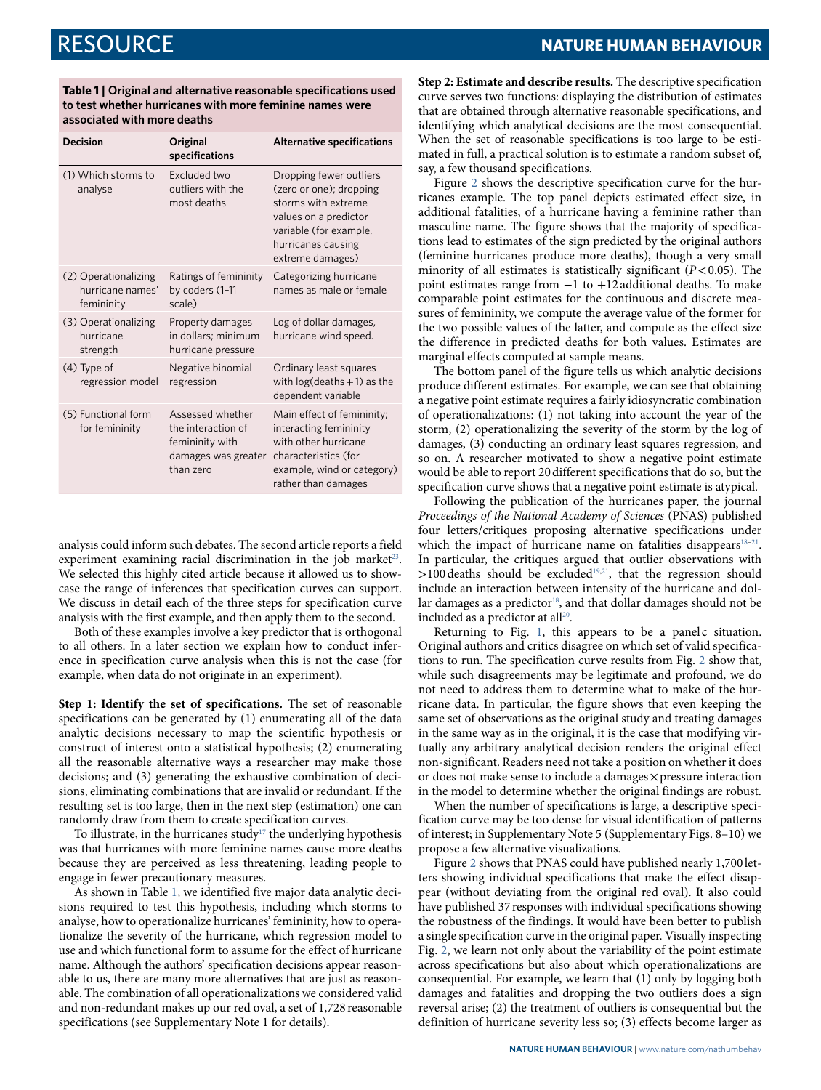<span id="page-3-0"></span>**Table 1 | original and alternative reasonable specifications used to test whether hurricanes with more feminine names were associated with more deaths**

| <b>Decision</b>                                        | Original<br>specifications                                                                    | <b>Alternative specifications</b>                                                                                                                                      |
|--------------------------------------------------------|-----------------------------------------------------------------------------------------------|------------------------------------------------------------------------------------------------------------------------------------------------------------------------|
| (1) Which storms to<br>analyse                         | Excluded two<br>outliers with the<br>most deaths                                              | Dropping fewer outliers<br>(zero or one); dropping<br>storms with extreme<br>values on a predictor<br>variable (for example,<br>hurricanes causing<br>extreme damages) |
| (2) Operationalizing<br>hurricane names'<br>femininity | Ratings of femininity<br>by coders (1-11<br>scale)                                            | Categorizing hurricane<br>names as male or female                                                                                                                      |
| (3) Operationalizing<br>hurricane<br>strength          | Property damages<br>in dollars; minimum<br>hurricane pressure                                 | Log of dollar damages,<br>hurricane wind speed.                                                                                                                        |
| $(4)$ Type of<br>regression model                      | Negative binomial<br>regression                                                               | Ordinary least squares<br>with $log(deaths + 1)$ as the<br>dependent variable                                                                                          |
| (5) Functional form<br>for femininity                  | Assessed whether<br>the interaction of<br>femininity with<br>damages was greater<br>than zero | Main effect of femininity;<br>interacting femininity<br>with other hurricane<br>characteristics (for<br>example, wind or category)<br>rather than damages              |

analysis could inform such debates. The second article reports a field experiment examining racial discrimination in the job market $23$ . We selected this highly cited article because it allowed us to showcase the range of inferences that specification curves can support. We discuss in detail each of the three steps for specification curve analysis with the first example, and then apply them to the second.

Both of these examples involve a key predictor that is orthogonal to all others. In a later section we explain how to conduct inference in specification curve analysis when this is not the case (for example, when data do not originate in an experiment).

**Step 1: Identify the set of specifications.** The set of reasonable specifications can be generated by (1) enumerating all of the data analytic decisions necessary to map the scientific hypothesis or construct of interest onto a statistical hypothesis; (2) enumerating all the reasonable alternative ways a researcher may make those decisions; and (3) generating the exhaustive combination of decisions, eliminating combinations that are invalid or redundant. If the resulting set is too large, then in the next step (estimation) one can randomly draw from them to create specification curves.

To illustrate, in the hurricanes study $17$  the underlying hypothesis was that hurricanes with more feminine names cause more deaths because they are perceived as less threatening, leading people to engage in fewer precautionary measures.

As shown in Table [1,](#page-3-0) we identified five major data analytic decisions required to test this hypothesis, including which storms to analyse, how to operationalize hurricanes' femininity, how to operationalize the severity of the hurricane, which regression model to use and which functional form to assume for the effect of hurricane name. Although the authors' specification decisions appear reasonable to us, there are many more alternatives that are just as reasonable. The combination of all operationalizations we considered valid and non-redundant makes up our red oval, a set of 1,728 reasonable specifications (see Supplementary Note 1 for details).

**Step 2: Estimate and describe results.** The descriptive specification curve serves two functions: displaying the distribution of estimates that are obtained through alternative reasonable specifications, and identifying which analytical decisions are the most consequential. When the set of reasonable specifications is too large to be estimated in full, a practical solution is to estimate a random subset of, say, a few thousand specifications.

Figure [2](#page-2-0) shows the descriptive specification curve for the hurricanes example. The top panel depicts estimated effect size, in additional fatalities, of a hurricane having a feminine rather than masculine name. The figure shows that the majority of specifications lead to estimates of the sign predicted by the original authors (feminine hurricanes produce more deaths), though a very small minority of all estimates is statistically significant  $(P< 0.05)$ . The point estimates range from −1 to +12 additional deaths. To make comparable point estimates for the continuous and discrete measures of femininity, we compute the average value of the former for the two possible values of the latter, and compute as the effect size the difference in predicted deaths for both values. Estimates are marginal effects computed at sample means.

The bottom panel of the figure tells us which analytic decisions produce different estimates. For example, we can see that obtaining a negative point estimate requires a fairly idiosyncratic combination of operationalizations: (1) not taking into account the year of the storm, (2) operationalizing the severity of the storm by the log of damages, (3) conducting an ordinary least squares regression, and so on. A researcher motivated to show a negative point estimate would be able to report 20 different specifications that do so, but the specification curve shows that a negative point estimate is atypical.

Following the publication of the hurricanes paper, the journal Proceedings of the National Academy of Sciences (PNAS) published four letters/critiques proposing alternative specifications under which the impact of hurricane name on fatalities disappears<sup>[18](#page-6-17)-21</sup>. In particular, the critiques argued that outlier observations with  $>100$  deaths should be excluded<sup>[19](#page-6-19),[21](#page-6-18)</sup>, that the regression should include an interaction between intensity of the hurricane and dol-lar damages as a predictor<sup>[18](#page-6-17)</sup>, and that dollar damages should not be included as a predictor at all<sup>[20](#page-6-20)</sup>.

Returning to Fig. [1,](#page-1-0) this appears to be a panel c situation. Original authors and critics disagree on which set of valid specifications to run. The specification curve results from Fig. [2](#page-2-0) show that, while such disagreements may be legitimate and profound, we do not need to address them to determine what to make of the hurricane data. In particular, the figure shows that even keeping the same set of observations as the original study and treating damages in the same way as in the original, it is the case that modifying virtually any arbitrary analytical decision renders the original effect non-significant. Readers need not take a position on whether it does or does not make sense to include a damages × pressure interaction in the model to determine whether the original findings are robust.

When the number of specifications is large, a descriptive specification curve may be too dense for visual identification of patterns of interest; in Supplementary Note 5 (Supplementary Figs. 8–10) we propose a few alternative visualizations.

Figure [2](#page-2-0) shows that PNAS could have published nearly 1,700 letters showing individual specifications that make the effect disappear (without deviating from the original red oval). It also could have published 37 responses with individual specifications showing the robustness of the findings. It would have been better to publish a single specification curve in the original paper. Visually inspecting Fig. [2,](#page-2-0) we learn not only about the variability of the point estimate across specifications but also about which operationalizations are consequential. For example, we learn that (1) only by logging both damages and fatalities and dropping the two outliers does a sign reversal arise; (2) the treatment of outliers is consequential but the definition of hurricane severity less so; (3) effects become larger as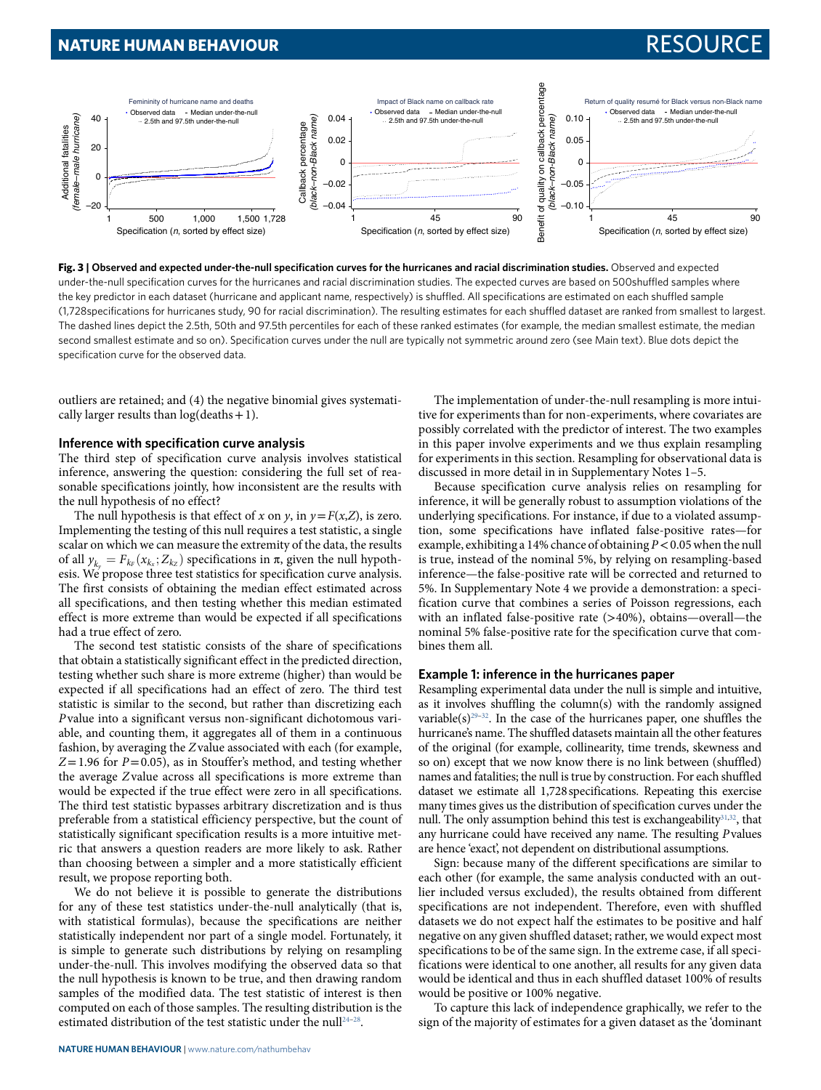## **NATURE HUMAN BEHAVIOUR** RESOURCE



<span id="page-4-0"></span>**Fig. 3 | observed and expected under-the-null specification curves for the hurricanes and racial discrimination studies.** Observed and expected under-the-null specification curves for the hurricanes and racial discrimination studies. The expected curves are based on 500shuffled samples where the key predictor in each dataset (hurricane and applicant name, respectively) is shuffled. All specifications are estimated on each shuffled sample (1,728specifications for hurricanes study, 90 for racial discrimination). The resulting estimates for each shuffled dataset are ranked from smallest to largest. The dashed lines depict the 2.5th, 50th and 97.5th percentiles for each of these ranked estimates (for example, the median smallest estimate, the median second smallest estimate and so on). Specification curves under the null are typically not symmetric around zero (see Main text). Blue dots depict the specification curve for the observed data.

outliers are retained; and (4) the negative binomial gives systematically larger results than  $log(deaths + 1)$ .

## **inference with specification curve analysis**

The third step of specification curve analysis involves statistical inference, answering the question: considering the full set of reasonable specifications jointly, how inconsistent are the results with the null hypothesis of no effect?

The null hypothesis is that effect of x on y, in  $y = F(x,Z)$ , is zero. Implementing the testing of this null requires a test statistic, a single scalar on which we can measure the extremity of the data, the results of all  $y_{k_y} = F_{k_F}(x_{k_x}; Z_{k_z})$  specifications in  $\pi$ , given the null hypothesis. We propose three test statistics for specification curve analysis. The first consists of obtaining the median effect estimated across all specifications, and then testing whether this median estimated effect is more extreme than would be expected if all specifications had a true effect of zero.

The second test statistic consists of the share of specifications that obtain a statistically significant effect in the predicted direction, testing whether such share is more extreme (higher) than would be expected if all specifications had an effect of zero. The third test statistic is similar to the second, but rather than discretizing each P value into a significant versus non-significant dichotomous variable, and counting them, it aggregates all of them in a continuous fashion, by averaging the Z value associated with each (for example,  $Z= 1.96$  for  $P= 0.05$ ), as in Stouffer's method, and testing whether the average Z value across all specifications is more extreme than would be expected if the true effect were zero in all specifications. The third test statistic bypasses arbitrary discretization and is thus preferable from a statistical efficiency perspective, but the count of statistically significant specification results is a more intuitive metric that answers a question readers are more likely to ask. Rather than choosing between a simpler and a more statistically efficient result, we propose reporting both.

We do not believe it is possible to generate the distributions for any of these test statistics under-the-null analytically (that is, with statistical formulas), because the specifications are neither statistically independent nor part of a single model. Fortunately, it is simple to generate such distributions by relying on resampling under-the-null. This involves modifying the observed data so that the null hypothesis is known to be true, and then drawing random samples of the modified data. The test statistic of interest is then computed on each of those samples. The resulting distribution is the estimated distribution of the test statistic under the null<sup>[24](#page-6-21)-28</sup>.

The implementation of under-the-null resampling is more intuitive for experiments than for non-experiments, where covariates are possibly correlated with the predictor of interest. The two examples in this paper involve experiments and we thus explain resampling for experiments in this section. Resampling for observational data is discussed in more detail in in Supplementary Notes 1–5.

Because specification curve analysis relies on resampling for inference, it will be generally robust to assumption violations of the underlying specifications. For instance, if due to a violated assumption, some specifications have inflated false-positive rates—for example, exhibiting a 14% chance of obtaining  $P < 0.05$  when the null is true, instead of the nominal 5%, by relying on resampling-based inference—the false-positive rate will be corrected and returned to 5%. In Supplementary Note 4 we provide a demonstration: a specification curve that combines a series of Poisson regressions, each with an inflated false-positive rate (>40%), obtains—overall—the nominal 5% false-positive rate for the specification curve that combines them all.

## **example 1: inference in the hurricanes paper**

Resampling experimental data under the null is simple and intuitive, as it involves shuffling the column(s) with the randomly assigned variable(s)<sup>[29–](#page-6-23)[32](#page-6-24)</sup>. In the case of the hurricanes paper, one shuffles the hurricane's name. The shuffled datasets maintain all the other features of the original (for example, collinearity, time trends, skewness and so on) except that we now know there is no link between (shuffled) names and fatalities; the null is true by construction. For each shuffled dataset we estimate all 1,728 specifications. Repeating this exercise many times gives us the distribution of specification curves under the null. The only assumption behind this test is exchangeability<sup>[31](#page-6-25)[,32](#page-6-24)</sup>, that any hurricane could have received any name. The resulting P values are hence 'exact', not dependent on distributional assumptions.

Sign: because many of the different specifications are similar to each other (for example, the same analysis conducted with an outlier included versus excluded), the results obtained from different specifications are not independent. Therefore, even with shuffled datasets we do not expect half the estimates to be positive and half negative on any given shuffled dataset; rather, we would expect most specifications to be of the same sign. In the extreme case, if all specifications were identical to one another, all results for any given data would be identical and thus in each shuffled dataset 100% of results would be positive or 100% negative.

To capture this lack of independence graphically, we refer to the sign of the majority of estimates for a given dataset as the 'dominant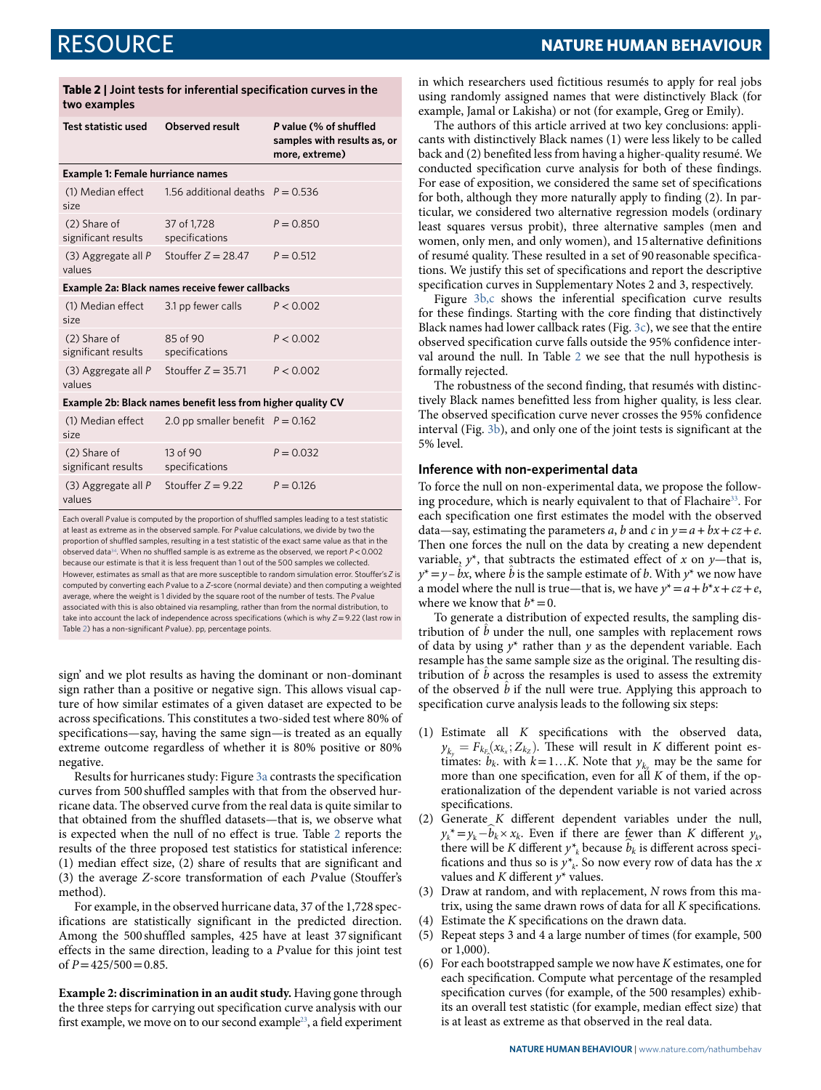| <b>NATURE HUMAN BEHAVIOUR</b> |
|-------------------------------|
|-------------------------------|

|                                                             | two examples                                    |                                                      |                                                                         |  |  |
|-------------------------------------------------------------|-------------------------------------------------|------------------------------------------------------|-------------------------------------------------------------------------|--|--|
|                                                             | Test statistic used                             | Observed result                                      | P value (% of shuffled<br>samples with results as, or<br>more, extreme) |  |  |
|                                                             | <b>Example 1: Female hurriance names</b>        |                                                      |                                                                         |  |  |
|                                                             | size                                            | (1) Median effect 1.56 additional deaths $P = 0.536$ |                                                                         |  |  |
|                                                             | (2) Share of<br>significant results             | 37 of 1,728<br>specifications                        | $P = 0.850$                                                             |  |  |
|                                                             | values                                          | (3) Aggregate all P Stouffer $Z = 28.47$             | $P = 0.512$                                                             |  |  |
|                                                             | Example 2a: Black names receive fewer callbacks |                                                      |                                                                         |  |  |
|                                                             | (1) Median effect<br>size                       | 3.1 pp fewer calls                                   | P < 0.002                                                               |  |  |
|                                                             | (2) Share of<br>significant results             | 85 of 90<br>specifications                           | P < 0.002                                                               |  |  |
|                                                             | (3) Aggregate all P<br>values                   | Stouffer $Z = 35.71$                                 | P < 0.002                                                               |  |  |
| Example 2b: Black names benefit less from higher quality CV |                                                 |                                                      |                                                                         |  |  |
|                                                             | (1) Median effect<br>size                       | 2.0 pp smaller benefit $P = 0.162$                   |                                                                         |  |  |

<span id="page-5-0"></span>**Table 2 | Joint tests for inferential specification curves in the** 

significant results (3) Aggregate all *P*

(2) Share of

values

Each overall *P* value is computed by the proportion of shuffled samples leading to a test statistic at least as extreme as in the observed sample. For *P* value calculations, we divide by two the proportion of shuffled samples, resulting in a test statistic of the exact same value as that in the observed data[34](#page-6-27). When no shuffled sample is as extreme as the observed, we report *P*< 0.002 because our estimate is that it is less frequent than 1 out of the 500 samples we collected. However, estimates as small as that are more susceptible to random simulation error. Stouffer's *Z* is computed by converting each *P* value to a *Z*-score (normal deviate) and then computing a weighted average, where the weight is 1 divided by the square root of the number of tests. The *P* value associated with this is also obtained via resampling, rather than from the normal distribution, to take into account the lack of independence across specifications (which is why *Z*= 9.22 (last row in Table [2](#page-5-0)) has a non-significant *P* value). pp, percentage points.

Stouffer  $Z = 9.22$   $P = 0.126$ 

*P* = 0.032

13 of 90 specifications

sign' and we plot results as having the dominant or non-dominant sign rather than a positive or negative sign. This allows visual capture of how similar estimates of a given dataset are expected to be across specifications. This constitutes a two-sided test where 80% of specifications—say, having the same sign—is treated as an equally extreme outcome regardless of whether it is 80% positive or 80% negative.

Results for hurricanes study: Figure [3a](#page-4-0) contrasts the specification curves from 500 shuffled samples with that from the observed hurricane data. The observed curve from the real data is quite similar to that obtained from the shuffled datasets—that is, we observe what is expected when the null of no effect is true. Table [2](#page-5-0) reports the results of the three proposed test statistics for statistical inference: (1) median effect size, (2) share of results that are significant and (3) the average Z-score transformation of each P value (Stouffer's method).

For example, in the observed hurricane data, 37 of the 1,728 specifications are statistically significant in the predicted direction. Among the 500 shuffled samples, 425 have at least 37 significant effects in the same direction, leading to a P value for this joint test of  $P = 425/500 = 0.85$ .

**Example 2: discrimination in an audit study.** Having gone through the three steps for carrying out specification curve analysis with our first example, we move on to our second example[23](#page-6-16), a field experiment in which researchers used fictitious resumés to apply for real jobs using randomly assigned names that were distinctively Black (for example, Jamal or Lakisha) or not (for example, Greg or Emily).

The authors of this article arrived at two key conclusions: applicants with distinctively Black names (1) were less likely to be called back and (2) benefited less from having a higher-quality resumé. We conducted specification curve analysis for both of these findings. For ease of exposition, we considered the same set of specifications for both, although they more naturally apply to finding (2). In particular, we considered two alternative regression models (ordinary least squares versus probit), three alternative samples (men and women, only men, and only women), and 15 alternative definitions of resumé quality. These resulted in a set of 90 reasonable specifications. We justify this set of specifications and report the descriptive specification curves in Supplementary Notes 2 and 3, respectively.

Figure [3b,c](#page-4-0) shows the inferential specification curve results for these findings. Starting with the core finding that distinctively Black names had lower callback rates (Fig. [3c\)](#page-4-0), we see that the entire observed specification curve falls outside the 95% confidence interval around the null. In Table [2](#page-5-0) we see that the null hypothesis is formally rejected.

The robustness of the second finding, that resumés with distinctively Black names benefitted less from higher quality, is less clear. The observed specification curve never crosses the 95% confidence interval (Fig. [3b](#page-4-0)), and only one of the joint tests is significant at the 5% level.

## **inference with non-experimental data**

To force the null on non-experimental data, we propose the follow-ing procedure, which is nearly equivalent to that of Flachaire<sup>[33](#page-6-26)</sup>. For each specification one first estimates the model with the observed data—say, estimating the parameters a, b and c in  $y = a + bx + cz + e$ . Then one forces the null on the data by creating a new dependent variable,  $y^*$ , that subtracts the estimated effect of x on y—that is,  $y^* = y - bx$ , where  $\hat{b}$  is the sample estimate of b. With  $y^*$  we now have a model where the null is true—that is, we have  $y^* = a + b^*x + cz + e$ , where we know that  $b^* = 0$ .

To generate a distribution of expected results, the sampling distribution of  $\ddot{b}$  under the null, one samples with replacement rows of data by using  $y^*$  rather than y as the dependent variable. Each resample has the same sample size as the original. The resulting distribution of  $\ddot{b}$  across the resamples is used to assess the extremity of the observed  $\hat{b}$  if the null were true. Applying this approach to specification curve analysis leads to the following six steps:

- (1) Estimate all K specifications with the observed data,  $y_{k_y} = F_{k_{E_x}}(x_{k_x}; Z_{k_z})$ . These will result in K different point es $y_{k_y} = Y_{k_x} (x_{k_x}, z_{k_z})$ . These with result in A university point is<br>timates:  $b_k$ . with  $k = 1...K$ . Note that  $y_{k_y}$  may be the same for more than one specification, even for all  $K$  of them, if the operationalization of the dependent variable is not varied across specifications.
- (2) Generate  $K$  different dependent variables under the null,  $y_k^* = y_k - \hat{b}_k \times x_k$ . Even if there are fewer than K different  $y_k$ , there will be K different  $y^*_{k}$  because  $\hat{b}_k$  is different across specifications and thus so is  $y^*_{k}$ . So now every row of data has the x values and  $K$  different  $y^*$  values.
- (3) Draw at random, and with replacement, N rows from this matrix, using the same drawn rows of data for all K specifications.
- (4) Estimate the K specifications on the drawn data.
- (5) Repeat steps 3 and 4 a large number of times (for example, 500 or 1,000).
- (6) For each bootstrapped sample we now have K estimates, one for each specification. Compute what percentage of the resampled specification curves (for example, of the 500 resamples) exhibits an overall test statistic (for example, median effect size) that is at least as extreme as that observed in the real data.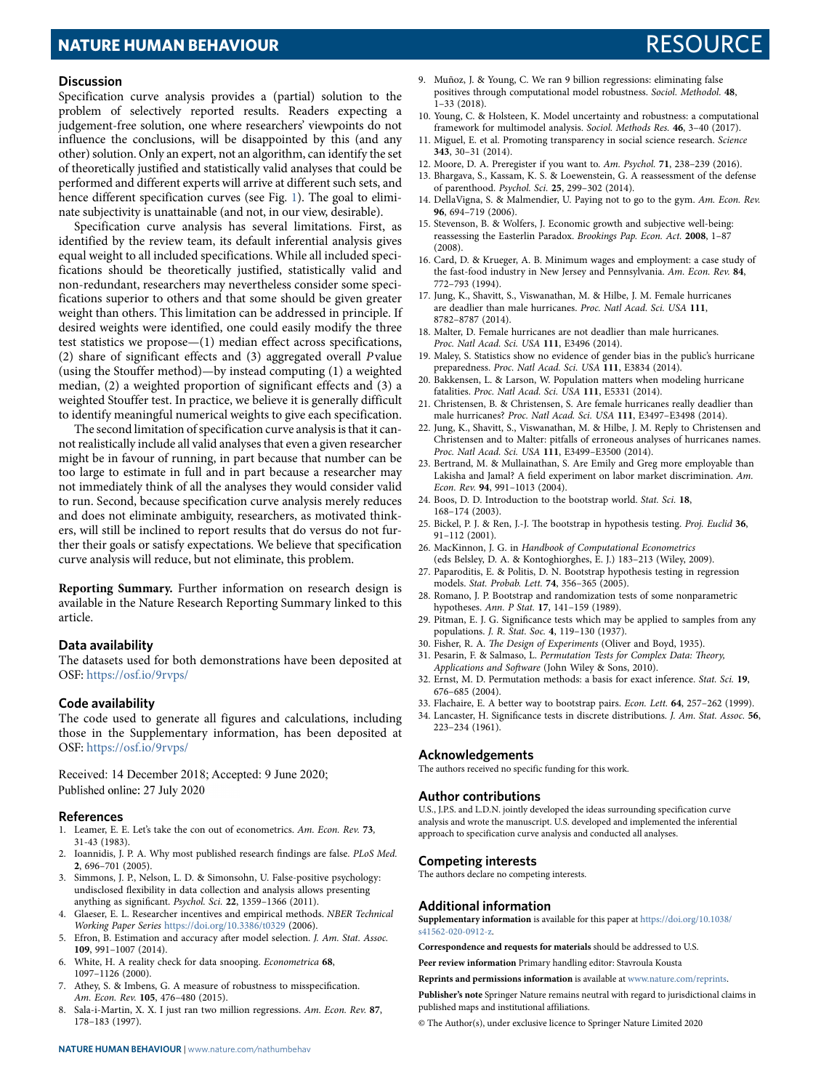## **NATURE HUMAN BEHAVIOUR RESOURCE AND RESOURCE AND RESOURCE AND RESOURCE AND RESOURCE**

## **Discussion**

Specification curve analysis provides a (partial) solution to the problem of selectively reported results. Readers expecting a judgement-free solution, one where researchers' viewpoints do not influence the conclusions, will be disappointed by this (and any other) solution. Only an expert, not an algorithm, can identify the set of theoretically justified and statistically valid analyses that could be performed and different experts will arrive at different such sets, and hence different specification curves (see Fig. [1\)](#page-1-0). The goal to eliminate subjectivity is unattainable (and not, in our view, desirable).

Specification curve analysis has several limitations. First, as identified by the review team, its default inferential analysis gives equal weight to all included specifications. While all included specifications should be theoretically justified, statistically valid and non-redundant, researchers may nevertheless consider some specifications superior to others and that some should be given greater weight than others. This limitation can be addressed in principle. If desired weights were identified, one could easily modify the three test statistics we propose—(1) median effect across specifications, (2) share of significant effects and (3) aggregated overall P value (using the Stouffer method)—by instead computing (1) a weighted median, (2) a weighted proportion of significant effects and (3) a weighted Stouffer test. In practice, we believe it is generally difficult to identify meaningful numerical weights to give each specification.

The second limitation of specification curve analysis is that it cannot realistically include all valid analyses that even a given researcher might be in favour of running, in part because that number can be too large to estimate in full and in part because a researcher may not immediately think of all the analyses they would consider valid to run. Second, because specification curve analysis merely reduces and does not eliminate ambiguity, researchers, as motivated thinkers, will still be inclined to report results that do versus do not further their goals or satisfy expectations. We believe that specification curve analysis will reduce, but not eliminate, this problem.

**Reporting Summary.** Further information on research design is available in the Nature Research Reporting Summary linked to this article.

## **Data availability**

The datasets used for both demonstrations have been deposited at OSF: <https://osf.io/9rvps/>

### **Code availability**

The code used to generate all figures and calculations, including those in the Supplementary information, has been deposited at OSF: <https://osf.io/9rvps/>

Received: 14 December 2018; Accepted: 9 June 2020; Published online: 27 July 2020

## **references**

- <span id="page-6-0"></span> 1. Leamer, E. E. Let's take the con out of econometrics. Am. Econ. Rev. **73**, 31-43 (1983).
- 2. Ioannidis, J. P. A. Why most published research findings are false. PLoS Med. **2**, 696–701 (2005).
- 3. Simmons, J. P., Nelson, L. D. & Simonsohn, U. False-positive psychology: undisclosed flexibility in data collection and analysis allows presenting anything as significant. Psychol. Sci. **22**, 1359–1366 (2011).
- <span id="page-6-1"></span> 4. Glaeser, E. L. Researcher incentives and empirical methods. NBER Technical Working Paper Series <https://doi.org/10.3386/t0329> (2006).
- <span id="page-6-2"></span>Efron, B. Estimation and accuracy after model selection. J. Am. Stat. Assoc. **109**, 991–1007 (2014).
- <span id="page-6-3"></span> 6. White, H. A reality check for data snooping. Econometrica **68**, 1097–1126 (2000).
- <span id="page-6-4"></span> 7. Athey, S. & Imbens, G. A measure of robustness to misspecification. Am. Econ. Rev. **105**, 476–480 (2015).
- <span id="page-6-5"></span> 8. Sala-i-Martin, X. X. I just ran two million regressions. Am. Econ. Rev. **87**, 178–183 (1997).
- <span id="page-6-6"></span> 9. Muñoz, J. & Young, C. We ran 9 billion regressions: eliminating false positives through computational model robustness. Sociol. Methodol. **48**,  $1-33(2018)$ .
- <span id="page-6-7"></span> 10. Young, C. & Holsteen, K. Model uncertainty and robustness: a computational framework for multimodel analysis. Sociol. Methods Res. **46**, 3–40 (2017).
- <span id="page-6-8"></span> 11. Miguel, E. et al. Promoting transparency in social science research. Science **343**, 30–31 (2014).
- <span id="page-6-9"></span>12. Moore, D. A. Preregister if you want to. Am. Psychol. **71**, 238–239 (2016).
- <span id="page-6-10"></span> 13. Bhargava, S., Kassam, K. S. & Loewenstein, G. A reassessment of the defense of parenthood. Psychol. Sci. **25**, 299–302 (2014).
- <span id="page-6-11"></span> 14. DellaVigna, S. & Malmendier, U. Paying not to go to the gym. Am. Econ. Rev. **96**, 694–719 (2006).
- <span id="page-6-12"></span> 15. Stevenson, B. & Wolfers, J. Economic growth and subjective well-being: reassessing the Easterlin Paradox. Brookings Pap. Econ. Act. **2008**, 1–87 (2008).
- <span id="page-6-13"></span> 16. Card, D. & Krueger, A. B. Minimum wages and employment: a case study of the fast-food industry in New Jersey and Pennsylvania. Am. Econ. Rev. **84**, 772–793 (1994).
- <span id="page-6-14"></span> 17. Jung, K., Shavitt, S., Viswanathan, M. & Hilbe, J. M. Female hurricanes are deadlier than male hurricanes. Proc. Natl Acad. Sci. USA **111**, 8782–8787 (2014).
- <span id="page-6-17"></span> 18. Malter, D. Female hurricanes are not deadlier than male hurricanes. Proc. Natl Acad. Sci. USA **111**, E3496 (2014).
- <span id="page-6-19"></span> 19. Maley, S. Statistics show no evidence of gender bias in the public's hurricane preparedness. Proc. Natl Acad. Sci. USA **111**, E3834 (2014).
- <span id="page-6-20"></span> 20. Bakkensen, L. & Larson, W. Population matters when modeling hurricane fatalities. Proc. Natl Acad. Sci. USA **111**, E5331 (2014).
- <span id="page-6-18"></span> 21. Christensen, B. & Christensen, S. Are female hurricanes really deadlier than male hurricanes? Proc. Natl Acad. Sci. USA **111**, E3497–E3498 (2014).
- <span id="page-6-15"></span> 22. Jung, K., Shavitt, S., Viswanathan, M. & Hilbe, J. M. Reply to Christensen and Christensen and to Malter: pitfalls of erroneous analyses of hurricanes names. Proc. Natl Acad. Sci. USA **111**, E3499–E3500 (2014).
- <span id="page-6-16"></span> 23. Bertrand, M. & Mullainathan, S. Are Emily and Greg more employable than Lakisha and Jamal? A field experiment on labor market discrimination. Am. Econ. Rev. **94**, 991–1013 (2004).
- <span id="page-6-21"></span> 24. Boos, D. D. Introduction to the bootstrap world. Stat. Sci. **18**, 168–174 (2003).
- 25. Bickel, P. J. & Ren, J.-J. The bootstrap in hypothesis testing. Proj. Euclid **36**, 91–112 (2001).
- 26. MacKinnon, J. G. in Handbook of Computational Econometrics (eds Belsley, D. A. & Kontoghiorghes, E. J.) 183–213 (Wiley, 2009).
- 27. Paparoditis, E. & Politis, D. N. Bootstrap hypothesis testing in regression models. Stat. Probab. Lett. **74**, 356–365 (2005).
- <span id="page-6-22"></span> 28. Romano, J. P. Bootstrap and randomization tests of some nonparametric hypotheses. Ann. P Stat. **17**, 141–159 (1989).
- <span id="page-6-23"></span> 29. Pitman, E. J. G. Significance tests which may be applied to samples from any populations. J. R. Stat. Soc. **4**, 119–130 (1937).
- 30. Fisher, R. A. The Design of Experiments (Oliver and Boyd, 1935).
- <span id="page-6-25"></span> 31. Pesarin, F. & Salmaso, L. Permutation Tests for Complex Data: Theory, Applications and Software (John Wiley & Sons, 2010).
- <span id="page-6-24"></span> 32. Ernst, M. D. Permutation methods: a basis for exact inference. Stat. Sci. **19**, 676–685 (2004).
- <span id="page-6-26"></span>33. Flachaire, E. A better way to bootstrap pairs. Econ. Lett. **64**, 257–262 (1999).
- <span id="page-6-27"></span> 34. Lancaster, H. Significance tests in discrete distributions. J. Am. Stat. Assoc. **56**, 223–234 (1961).

### **acknowledgements**

The authors received no specific funding for this work.

## **author contributions**

U.S., J.P.S. and L.D.N. jointly developed the ideas surrounding specification curve analysis and wrote the manuscript. U.S. developed and implemented the inferential approach to specification curve analysis and conducted all analyses.

### **Competing interests**

The authors declare no competing interests.

## **additional information**

**Supplementary information** is available for this paper at [https://doi.org/10.1038/](https://doi.org/10.1038/s41562-020-0912-z) [s41562-020-0912-z.](https://doi.org/10.1038/s41562-020-0912-z)

**Correspondence and requests for materials** should be addressed to U.S.

**Peer review information** Primary handling editor: Stavroula Kousta

**Reprints and permissions information** is available at [www.nature.com/reprints](http://www.nature.com/reprints).

**Publisher's note** Springer Nature remains neutral with regard to jurisdictional claims in published maps and institutional affiliations.

© The Author(s), under exclusive licence to Springer Nature Limited 2020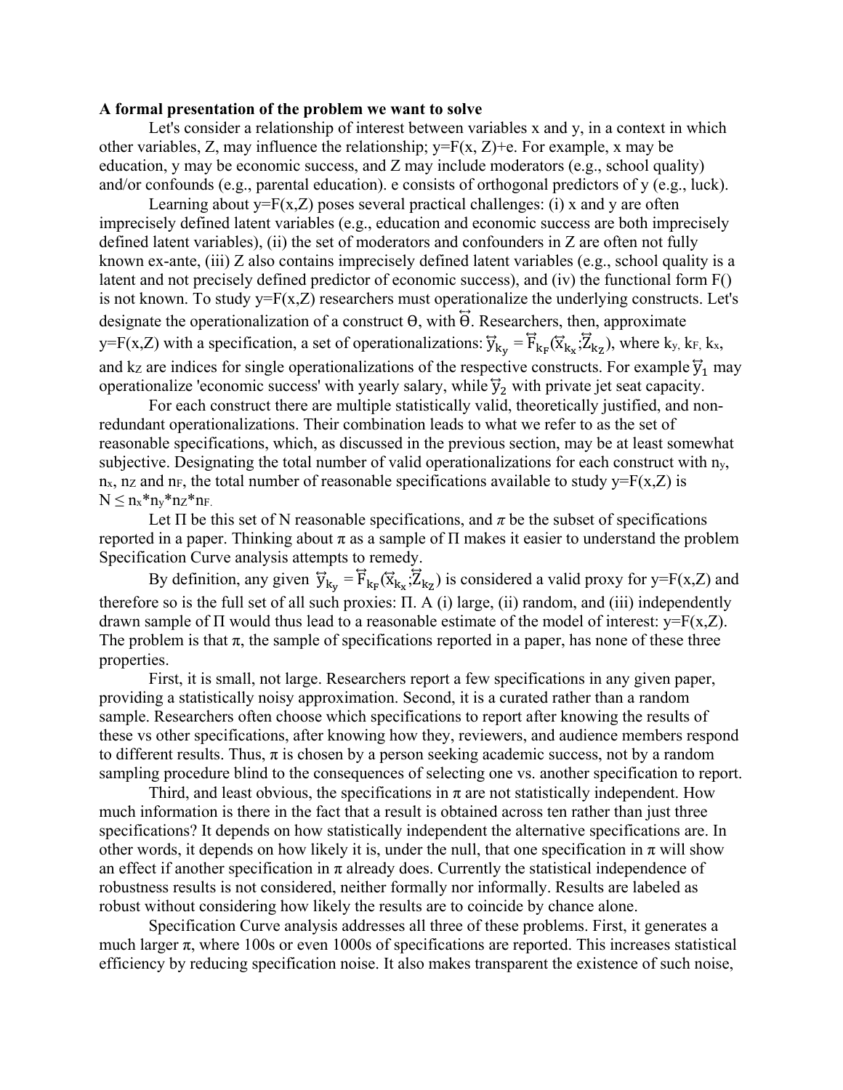## **A formal presentation of the problem we want to solve**

 Let's consider a relationship of interest between variables x and y, in a context in which other variables, Z, may influence the relationship;  $y = F(x, Z) + e$ . For example, x may be education, y may be economic success, and Z may include moderators (e.g., school quality) and/or confounds (e.g., parental education). e consists of orthogonal predictors of y (e.g., luck).

Learning about  $y = F(x, Z)$  poses several practical challenges: (i) x and y are often imprecisely defined latent variables (e.g., education and economic success are both imprecisely defined latent variables), (ii) the set of moderators and confounders in Z are often not fully known ex-ante, (iii) Z also contains imprecisely defined latent variables (e.g., school quality is a latent and not precisely defined predictor of economic success), and (iv) the functional form F() is not known. To study  $y = F(x, Z)$  researchers must operationalize the underlying constructs. Let's designate the operationalization of a construct  $\theta$ , with  $\ddot{\theta}$ . Researchers, then, approximate y=F(x,Z) with a specification, a set of operationalizations:  $\vec{y}_{k_y} = \vec{F}_{k_F}(\vec{x}_{k_x}; \vec{Z}_{k_z})$ , where  $k_y$ ,  $k_F$ ,  $k_x$ , and kz are indices for single operationalizations of the respective constructs. For example  $\vec{y}_1$  may operationalize 'economic success' with yearly salary, while  $\overline{y}_2$  with private jet seat capacity.

For each construct there are multiple statistically valid, theoretically justified, and nonredundant operationalizations. Their combination leads to what we refer to as the set of reasonable specifications, which, as discussed in the previous section, may be at least somewhat subjective. Designating the total number of valid operationalizations for each construct with  $n_y$ ,  $n_x$ , nz and n<sub>F</sub>, the total number of reasonable specifications available to study y=F(x,Z) is  $N \leq n_x * n_y * n_z * n_F$ .

Let  $\Pi$  be this set of N reasonable specifications, and  $\pi$  be the subset of specifications reported in a paper. Thinking about π as a sample of  $\Pi$  makes it easier to understand the problem Specification Curve analysis attempts to remedy.

By definition, any given  $\overline{y}_{k_y} = \overline{F}_{k_F}(\overline{x}_{k_x};\overline{Z}_{k_z})$  is considered a valid proxy for y=F(x,Z) and therefore so is the full set of all such proxies: Π. A (i) large, (ii) random, and (iii) independently drawn sample of  $\Pi$  would thus lead to a reasonable estimate of the model of interest:  $y = F(x, Z)$ . The problem is that  $\pi$ , the sample of specifications reported in a paper, has none of these three properties.

First, it is small, not large. Researchers report a few specifications in any given paper, providing a statistically noisy approximation. Second, it is a curated rather than a random sample. Researchers often choose which specifications to report after knowing the results of these vs other specifications, after knowing how they, reviewers, and audience members respond to different results. Thus,  $\pi$  is chosen by a person seeking academic success, not by a random sampling procedure blind to the consequences of selecting one vs. another specification to report.

Third, and least obvious, the specifications in  $\pi$  are not statistically independent. How much information is there in the fact that a result is obtained across ten rather than just three specifications? It depends on how statistically independent the alternative specifications are. In other words, it depends on how likely it is, under the null, that one specification in  $\pi$  will show an effect if another specification in  $\pi$  already does. Currently the statistical independence of robustness results is not considered, neither formally nor informally. Results are labeled as robust without considering how likely the results are to coincide by chance alone.

 Specification Curve analysis addresses all three of these problems. First, it generates a much larger  $\pi$ , where 100s or even 1000s of specifications are reported. This increases statistical efficiency by reducing specification noise. It also makes transparent the existence of such noise,